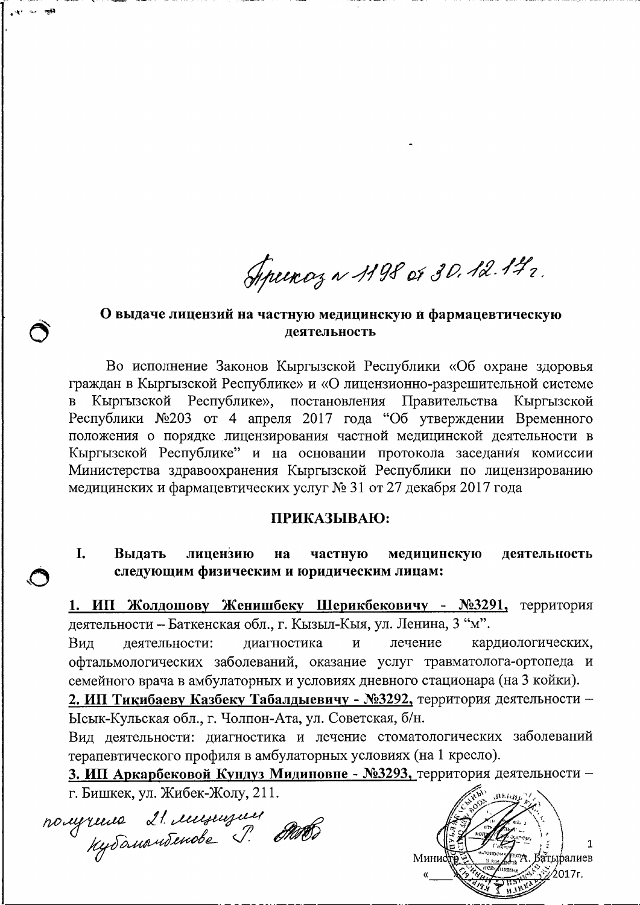Speenoz ~ 1198 or 30.12.172.

### О выдаче лицензий на частную медицинскую й фармацевтическую деятельность

Во исполнение Законов Кыргызской Республики «Об охране здоровья граждан в Кыргызской Республике» и «О лицензионно-разрешительной системе Кыргызской Республике», постановления Правительства Кыргызской Республики №203 от 4 апреля 2017 года "Об утверждении Временного положения о порядке лицензирования частной медицинской деятельности в Кыргызской Республике" и на основании протокола заседания комиссии Министерства здравоохранения Кыргызской Республики по лицензированию медицинских и фармацевтических услуг № 31 от 27 декабря 2017 года

### ПРИКАЗЫВАЮ:

#### I. Выдать лицензию на частную медицинскую деятельность следующим физическим и юридическим лицам:

1. ИП Жолдошову Женишбеку Шерикбековичу - №3291, территория деятельности - Баткенская обл., г. Кызыл-Кыя, ул. Ленина, 3 "м".

деятельности: диагностика  $\overline{M}$ лечение кардиологических, Вил офтальмологических заболеваний, оказание услуг травматолога-ортопеда и семейного врача в амбулаторных и условиях дневного стационара (на 3 койки).

2. ИП Тикибаеву Казбеку Табалдыевичу - №3292, территория деятельности -Ысык-Кульская обл., г. Чолпон-Ата, ул. Советская, б/н.

Вид деятельности: диагностика и лечение стоматологических заболеваний терапевтического профиля в амбулаторных условиях (на 1 кресло).

3. ИП Аркарбековой Кундуз Мидиновне - №3293, территория деятельности г. Бишкек, ул. Жибек-Жолу, 211.

nougrans 21. immuseuse

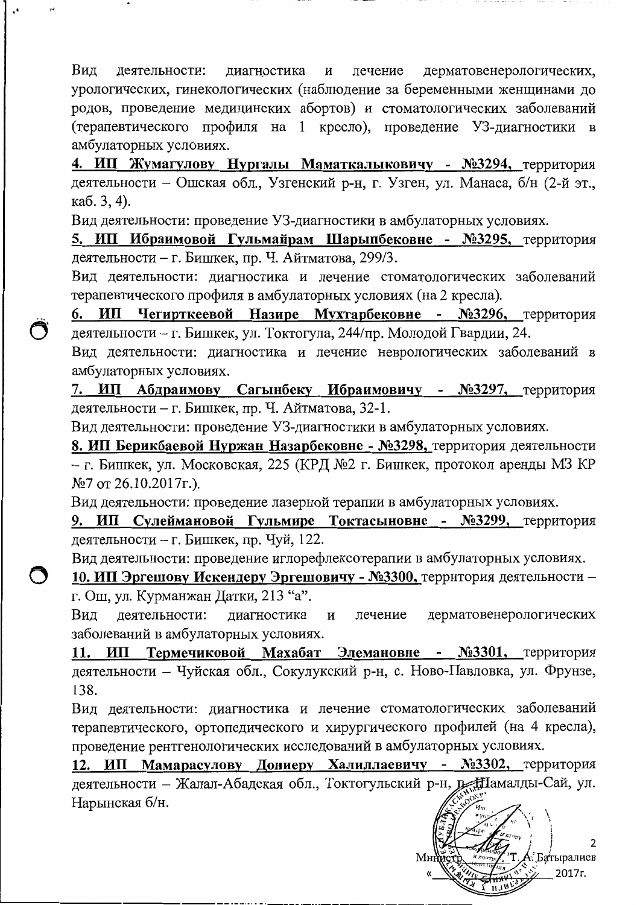дерматовенерологических, Вид деятельности: диагностика лечение  $\mathbf H$ урологических, гинекологических (наблюдение за беременными женщинами до родов, проведение медицинских абортов) и стоматологических заболеваний (терапевтического профиля на 1 кресло), проведение УЗ-диагностики в амбулаторных условиях.

4. ИП Жумагулову Нургалы Маматкалыковичу - №3294, территория деятельности - Ошская обл., Узгенский р-н, г. Узген, ул. Манаса, б/н (2-й эт., каб. 3, 4).

Вид деятельности: проведение УЗ-диагностики в амбулаторных условиях.

5. ИП Ибраимовой Гульмайрам Шарыпбековне - №3295, территория деятельности - г. Бишкек, пр. Ч. Айтматова, 299/3.

Вид деятельности: диагностика и лечение стоматологических заболеваний терапевтического профиля в амбулаторных условиях (на 2 кресла).

6. ИП Чегирткеевой Назире Мухтарбековне - №3296, территория деятельности - г. Бишкек, ул. Токтогула, 244/пр. Молодой Гвардии, 24.

Вид деятельности: диагностика и лечение неврологических заболеваний в амбулаторных условиях.

7. ИП Абдраимову Сагынбеку Ибраимовичу - №3297, территория деятельности - г. Бишкек, пр. Ч. Айтматова, 32-1.

Вид деятельности: проведение УЗ-диагностики в амбулаторных условиях.

8. ИП Берикбаевой Нуржан Назарбековне - №3298, территория деятельности - г. Бишкек, ул. Московская, 225 (КРД №2 г. Бишкек, протокол аренды МЗ КР  $N$ <sup>26.10.2017г.).</sup>

Вид деятельности: проведение лазерной терапии в амбулаторных условиях.

9. ИП Сулеймановой Гульмире Токтасыновне - №3299, территория деятельности - г. Бишкек, пр. Чуй, 122.

Вид деятельности: проведение иглорефлексотерапии в амбулаторных условиях.

10. ИП Эргешову Искендеру Эргешовичу - №3300, территория деятельности г. Ош, ул. Курманжан Датки, 213 "а".

деятельности: дерматовенерологических Вид диагностика  $\mathbf{H}$ лечение заболеваний в амбулаторных условиях.

11. ИП Термечиковой Махабат Элемановне - №3301, территория деятельности - Чуйская обл., Сокулукский р-н, с. Ново-Павловка, ул. Фрунзе, 138.

Вид деятельности: диагностика и лечение стоматологических заболеваний терапевтического, ортопедического и хирургического профилей (на 4 кресла), проведение рентгенологических исследований в амбулаторных условиях.

12. ИП Мамарасулову Дониеру Халиллаевичу - №3302, территория деятельности - Жалал-Абадская обл., Токтогульский р-н, д. Намалды-Сай, ул. Нарынская б/н.

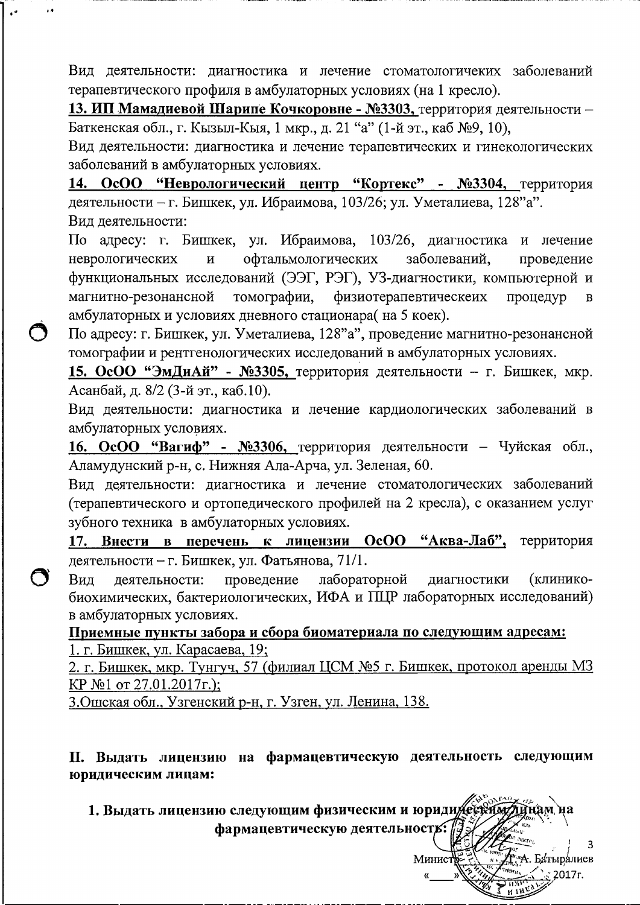Вид деятельности: диагностика и лечение стоматологичеких заболеваний терапевтического профиля в амбулаторных условиях (на 1 кресло).

13. ИП Мамадиевой Шарипе Кочкоровне - №3303, территория деятельности -Баткенская обл., г. Кызыл-Кыя, 1 мкр., д. 21 "а" (1-й эт., каб №9, 10),

Вид деятельности: диагностика и лечение терапевтических и гинекологических заболеваний в амбулаторных условиях.

14. ОсОО "Неврологический центр "Кортекс" - №3304, территория деятельности - г. Бишкек, ул. Ибраимова, 103/26; ул. Уметалиева, 128"а". Вид деятельности:

По адресу: г. Бишкек, ул. Ибраимова, 103/26, диагностика и лечение неврологических офтальмологических заболеваний,  $\mathbf{M}$ проведение функциональных исследований (ЭЭГ, РЭГ), УЗ-диагностики, компьютерной и магнитно-резонансной томографии, физиотерапевтическеих процедур  $\overline{B}$ амбулаторных и условиях дневного стационара(на 5 коек).

По адресу: г. Бишкек, ул. Уметалиева, 128"а", проведение магнитно-резонансной томографии и рентгенологических исследований в амбулаторных условиях.

15. ОсОО "ЭмДиАй" - №3305, территория деятельности - г. Бишкек, мкр. Асанбай, д. 8/2 (3-й эт., каб.10).

Вид деятельности: диагностика и лечение кардиологических заболеваний в амбулаторных условиях.

16. ОсОО "Вагиф" - №3306, территория деятельности - Чуйская обл., Аламудунский р-н, с. Нижняя Ала-Арча, ул. Зеленая, 60.

Вид деятельности: диагностика и лечение стоматологических заболеваний (терапевтического и ортопедического профилей на 2 кресла), с оказанием услуг зубного техника в амбулаторных условиях.

17. Внести в перечень к лицензии ОсОО "Аква-Лаб", территория деятельности - г. Бишкек, ул. Фатьянова, 71/1.

лабораторной (клинико-Вид деятельности: проведение диагностики биохимических, бактериологических, ИФА и ПЦР лабораторных исследований) в амбулаторных условиях.

Приемные пункты забора и сбора биоматериала по следующим адресам: 1. г. Бишкек, ул. Карасаева, 19;

2. г. Бишкек, мкр. Тунгуч, 57 (филиал ЦСМ №5 г. Бишкек, протокол аренды МЗ КР №1 от 27.01.2017г.);

3. Ошская обл., Узгенский р-н, г. Узген, ул. Ленина, 138.

II. Выдать лицензию на фармацевтическую деятельность следующим юридическим лицам:

1. Выдать лицензию следующим физическим и юриди есей фармацевтическую деятельность:

Минис

: А. Батыралиев

िं 2017г.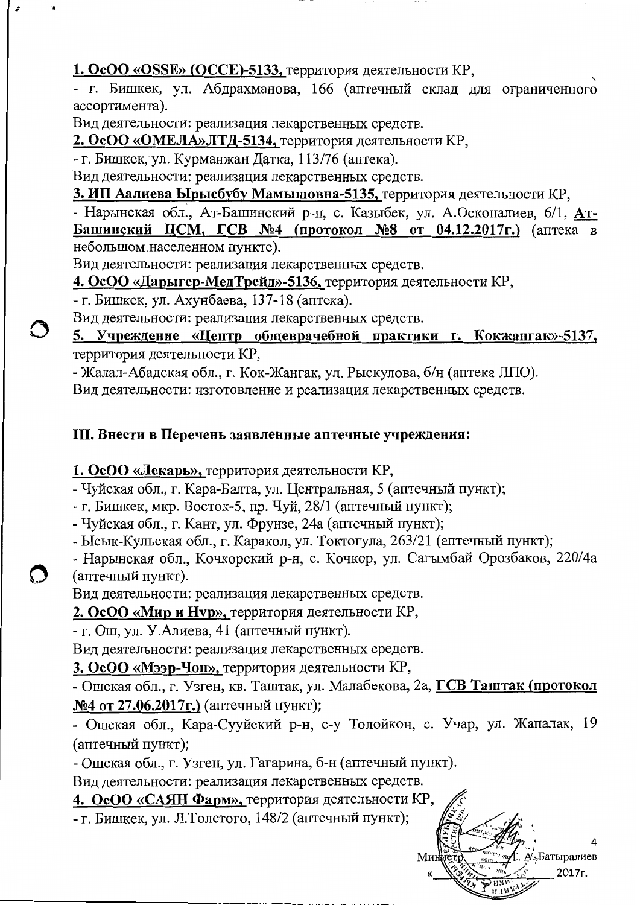1. OcOO «OSSE» (ОССЕ)-5133, территория деятельности КР,

- г. Бишкек, ул. Абдрахманова, 166 (аптечный склад для ограниченного ассортимента).

Вид деятельности: реализация лекарственных средств.

2. ОсОО «ОМЕЛА» ЛТД-5134, территория деятельности КР,

- г. Бишкек, ул. Курманжан Датка, 113/76 (аптека).

Вид деятельности: реализация лекарственных средств.

3. ИП Аалиева Ырысбубу Мамышовна-5135, территория деятельности КР,

- Нарынская обл., Ат-Башинский р-н, с. Казыбек, ул. А.Осконалиев, 6/1, Ат-Башинский ЦСМ, ГСВ №4 (протокол №8 от 04.12.2017г.) (аптека в небольшом населенном пункте).

Вид деятельности: реализация лекарственных средств.

4. ОсОО «Дарыгер-МедТрейд»-5136, территория деятельности КР,

- г. Бишкек, ул. Ахунбаева, 137-18 (аптека).

Вид деятельности: реализация лекарственных средств.

5. Учреждение «Центр общеврачебной практики г. Кокжангак»-5137, территория деятельности КР,

- Жалал-Абадская обл., г. Кок-Жангак, ул. Рыскулова, б/н (аптека ЛПО).

Вид деятельности: изготовление и реализация лекарственных средств.

# III. Внести в Перечень заявленные аптечные учреждения:

1. ОсОО «Лекарь», территория деятельности КР,

- Чуйская обл., г. Кара-Балта, ул. Центральная, 5 (аптечный пункт);

- г. Бишкек, мкр. Восток-5, пр. Чуй, 28/1 (аптечный пункт);

- Чуйская обл., г. Кант, ул. Фрунзе, 24а (аптечный пункт);

- Ысык-Кульская обл., г. Каракол, ул. Токтогула, 263/21 (аптечный пункт);

- Нарынская обл., Кочкорский р-н, с. Кочкор, ул. Сагымбай Орозбаков, 220/4а (аптечный пункт).

Вид деятельности: реализация лекарственных средств.

2. ОсОО «Мир и Нур», территория деятельности КР,

- г. Ош, ул. У. Алиева, 41 (аптечный пункт).

Вид деятельности: реализация лекарственных средств.

3. ОсОО «Мээр-Чоп», территория деятельности КР,

- Ошская обл., г. Узген, кв. Таштак, ул. Малабекова, 2а, ГСВ Таштак (протокол №4 от 27.06.2017г.) (аптечный пункт);

- Ошская обл., Кара-Сууйский р-н, с-у Толойкон, с. Учар, ул. Жапалак, 19 (аптечный пункт);

- Ошская обл., г. Узген, ул. Гагарина, б-н (аптечный пункт).

Вид деятельности: реализация лекарственных средств.

4. ОсОО «САЯН Фарм», территория деятельности КР,

- г. Бишкек, ул. Л.Толстого, 148/2 (аптечный пункт);

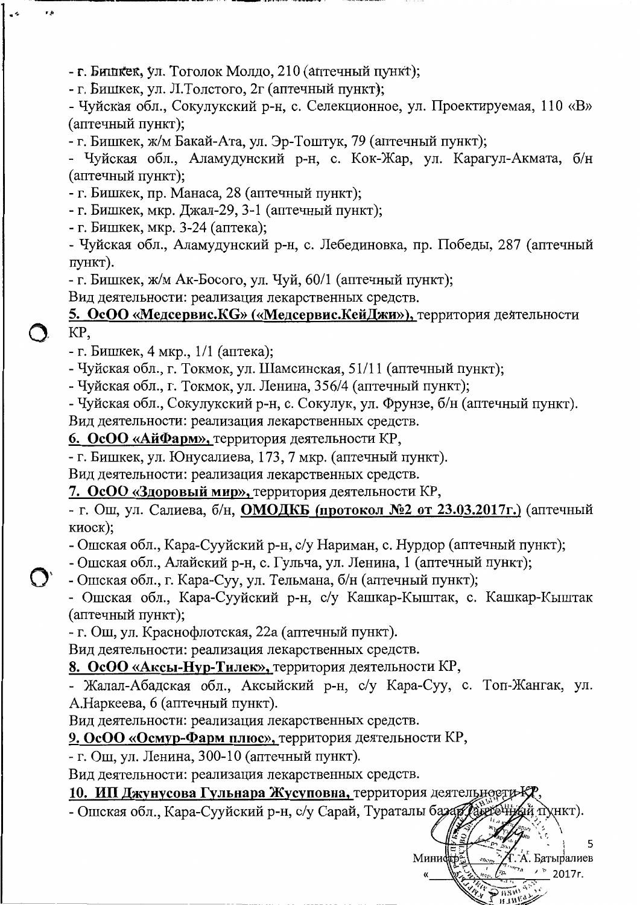- г. Бишкек, ул. Тоголок Молдо, 210 (аптечный пункт);

- г. Бишкек, ул. Л.Толстого, 2г (аптечный пункт);

- Чуйская обл., Сокулукский р-н, с. Селекционное, ул. Проектируемая, 110 «В» (аптечный пункт);

- г. Бишкек, ж/м Бакай-Ата, ул. Эр-Тоштук, 79 (аптечный пункт);

- Чуйская обл., Аламудунский р-н, с. Кок-Жар, ул. Карагул-Акмата, б/н (аптечный пункт);

- г. Бишкек, пр. Манаса, 28 (аптечный пункт);

- г. Бишкек, мкр. Джал-29, 3-1 (аптечный пункт);

- г. Бишкек, мкр. 3-24 (аптека);

r A

- Чуйская обл., Аламудунский р-н, с. Лебединовка, пр. Победы, 287 (аптечный пункт).

- г. Бишкек, ж/м Ак-Босого, ул. Чуй, 60/1 (аптечный пункт);

Вид деятельности: реализация лекарственных средств.

# 5. ОсОО «Медсервис.КG» («Медсервис.КейДжи»), территория деятельности KP,

- г. Бишкек, 4 мкр.,  $1/1$  (аптека);

- Чуйская обл., г. Токмок, ул. Шамсинская, 51/11 (аптечный пункт);

- Чуйская обл., г. Токмок, ул. Ленина, 356/4 (аптечный пункт);

- Чуйская обл., Сокулукский р-н, с. Сокулук, ул. Фрунзе, б/н (аптечный пункт).

Вид деятельности: реализация лекарственных средств.

6. ОсОО «АйФарм», территория деятельности КР,

- г. Бишкек, ул. Юнусалиева, 173, 7 мкр. (аптечный пункт).

Вид деятельности: реализация лекарственных средств.

7. ОсОО «Здоровый мир», территория деятельности КР,

- г. Ош, ул. Салиева, б/н, ОМОДКБ (протокол №2 от 23.03.2017г.) (аптечный киоск):

- Ошская обл., Кара-Сууйский р-н, с/у Нариман, с. Нурдор (аптечный пункт);

- Ошская обл., Алайский р-н, с. Гульча, ул. Ленина, 1 (аптечный пункт);

- Ошская обл., г. Кара-Суу, ул. Тельмана, б/н (аптечный пункт);

- Ошская обл., Кара-Сууйский р-н, с/у Кашкар-Кыштак, с. Кашкар-Кыштак (аптечный пункт);

- г. Ош, ул. Краснофлотская, 22а (аптечный пункт).

Вид деятельности: реализация лекарственных средств.

8. ОсОО «Аксы-Нур-Тилек», территория деятельности КР,

- Жалал-Абадская обл., Аксыйский р-н, с/у Кара-Суу, с. Топ-Жангак, ул. А.Наркеева, 6 (аптечный пункт).

Вид деятельности: реализация лекарственных средств.

9. ОсОО «Осмур-Фарм плюс», территория деятельности КР,

- г. Ош, ул. Ленина, 300-10 (аптечный пункт).

Вид деятельности: реализация лекарственных средств.

10. ИП Джунусова Гульнара Жусуповна, территория деятельности-К

- Ошская обл., Кара-Сууйский р-н, с/у Сарай, Тураталы базар vнкт).

Минис

А. Батыралиев  $'$   $\degree$  2017 r.